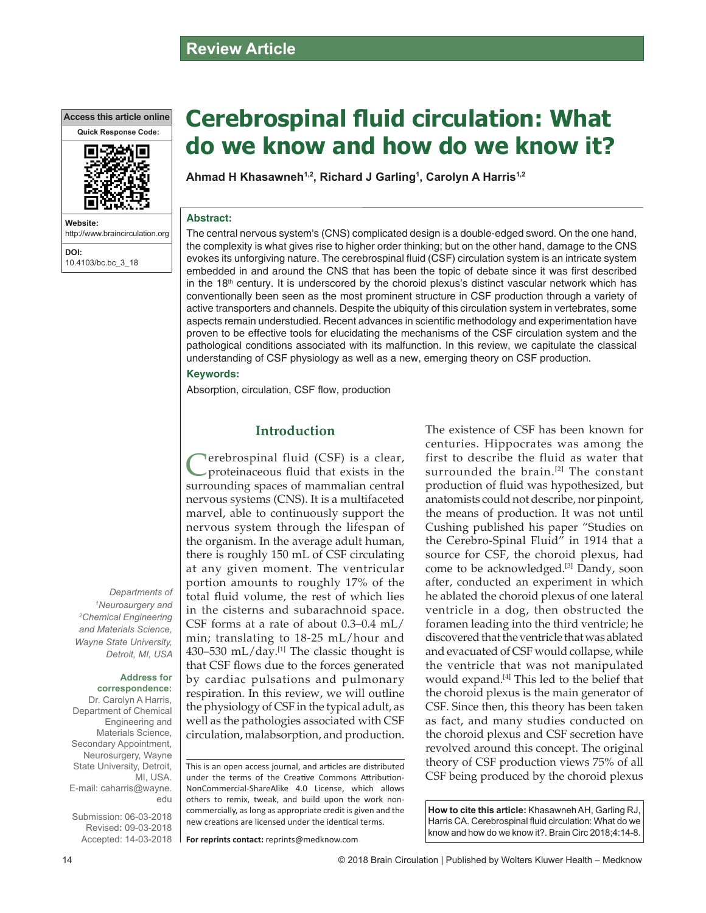# **Review Article**

**Access this article online**



**Website:** http://www.braincirculation.org **DOI:** 10.4103/bc.bc\_3\_18

**Cerebrospinal fluid circulation: What do we know and how do we know it?**

**Ahmad H Khasawneh1,2, Richard J Garling1 , Carolyn A Harris1,2**

### **Abstract:**

The central nervous system's (CNS) complicated design is a double-edged sword. On the one hand, the complexity is what gives rise to higher order thinking; but on the other hand, damage to the CNS evokes its unforgiving nature. The cerebrospinal fluid (CSF) circulation system is an intricate system embedded in and around the CNS that has been the topic of debate since it was first described in the  $18<sup>th</sup>$  century. It is underscored by the choroid plexus's distinct vascular network which has conventionally been seen as the most prominent structure in CSF production through a variety of active transporters and channels. Despite the ubiquity of this circulation system in vertebrates, some aspects remain understudied. Recent advances in scientific methodology and experimentation have proven to be effective tools for elucidating the mechanisms of the CSF circulation system and the pathological conditions associated with its malfunction. In this review, we capitulate the classical understanding of CSF physiology as well as a new, emerging theory on CSF production.

### **Keywords:**

Absorption, circulation, CSF flow, production

# **Introduction**

Terebrospinal fluid (CSF) is a clear, proteinaceous fluid that exists in the surrounding spaces of mammalian central nervous systems (CNS). It is a multifaceted marvel, able to continuously support the nervous system through the lifespan of the organism. In the average adult human, there is roughly 150 mL of CSF circulating at any given moment. The ventricular portion amounts to roughly 17% of the total fluid volume, the rest of which lies in the cisterns and subarachnoid space. CSF forms at a rate of about 0.3–0.4 mL/ min; translating to 18-25 mL/hour and 430–530 mL/day. $[1]$  The classic thought is that CSF flows due to the forces generated by cardiac pulsations and pulmonary respiration. In this review, we will outline the physiology of CSF in the typical adult, as well as the pathologies associated with CSF circulation, malabsorption, and production.

This is an open access journal, and articles are distributed under the terms of the Creative Commons Attribution-NonCommercial-ShareAlike 4.0 License, which allows others to remix, tweak, and build upon the work noncommercially, as long as appropriate credit is given and the new creations are licensed under the identical terms.

**For reprints contact:** reprints@medknow.com

The existence of CSF has been known for centuries. Hippocrates was among the first to describe the fluid as water that surrounded the brain.<sup>[2]</sup> The constant production of fluid was hypothesized, but anatomists could not describe, nor pinpoint, the means of production. It was not until Cushing published his paper "Studies on the Cerebro-Spinal Fluid" in 1914 that a source for CSF, the choroid plexus, had come to be acknowledged.<sup>[3]</sup> Dandy, soon after, conducted an experiment in which he ablated the choroid plexus of one lateral ventricle in a dog, then obstructed the foramen leading into the third ventricle; he discovered that the ventricle that was ablated and evacuated of CSF would collapse, while the ventricle that was not manipulated would expand.<sup>[4]</sup> This led to the belief that the choroid plexus is the main generator of CSF. Since then, this theory has been taken as fact, and many studies conducted on the choroid plexus and CSF secretion have revolved around this concept. The original theory of CSF production views 75% of all CSF being produced by the choroid plexus

**How to cite this article:** Khasawneh AH, Garling RJ, Harris CA. Cerebrospinal fluid circulation: What do we know and how do we know it?. Brain Circ 2018;4:14-8.

*Departments of 1 Neurosurgery and 2 Chemical Engineering and Materials Science, Wayne State University, Detroit, MI, USA*

#### **Address for correspondence:**

Dr. Carolyn A Harris, Department of Chemical Engineering and Materials Science, Secondary Appointment, Neurosurgery, Wayne State University, Detroit, MI, USA. E‑mail: caharris@wayne. edu

Submission: 06‑03‑2018 Revised**:** 09-03-2018 Accepted: 14‑03‑2018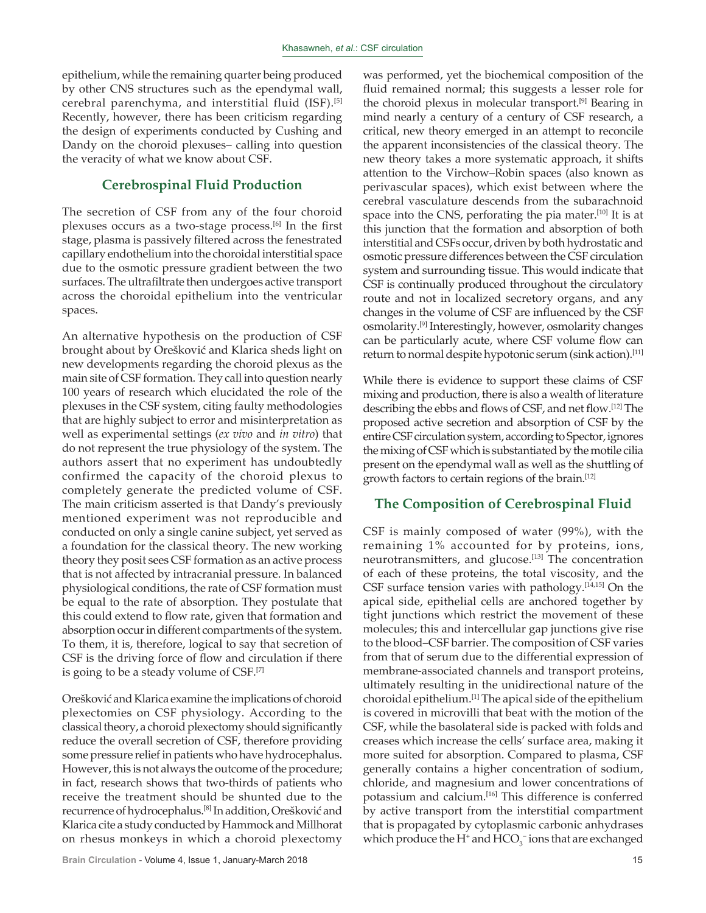epithelium, while the remaining quarter being produced by other CNS structures such as the ependymal wall, cerebral parenchyma, and interstitial fluid (ISF).[5] Recently, however, there has been criticism regarding the design of experiments conducted by Cushing and Dandy on the choroid plexuses– calling into question the veracity of what we know about CSF.

# **Cerebrospinal Fluid Production**

The secretion of CSF from any of the four choroid plexuses occurs as a two-stage process.[6] In the first stage, plasma is passively filtered across the fenestrated capillary endothelium into the choroidal interstitial space due to the osmotic pressure gradient between the two surfaces. The ultrafiltrate then undergoes active transport across the choroidal epithelium into the ventricular spaces.

An alternative hypothesis on the production of CSF brought about by Orešković and Klarica sheds light on new developments regarding the choroid plexus as the main site of CSF formation. They call into question nearly 100 years of research which elucidated the role of the plexuses in the CSF system, citing faulty methodologies that are highly subject to error and misinterpretation as well as experimental settings (*ex vivo* and *in vitro*) that do not represent the true physiology of the system. The authors assert that no experiment has undoubtedly confirmed the capacity of the choroid plexus to completely generate the predicted volume of CSF. The main criticism asserted is that Dandy's previously mentioned experiment was not reproducible and conducted on only a single canine subject, yet served as a foundation for the classical theory. The new working theory they posit sees CSF formation as an active process that is not affected by intracranial pressure. In balanced physiological conditions, the rate of CSF formation must be equal to the rate of absorption. They postulate that this could extend to flow rate, given that formation and absorption occur in different compartments of the system. To them, it is, therefore, logical to say that secretion of CSF is the driving force of flow and circulation if there is going to be a steady volume of CSF.<sup>[7]</sup>

Orešković and Klarica examine the implications of choroid plexectomies on CSF physiology. According to the classical theory, a choroid plexectomy should significantly reduce the overall secretion of CSF, therefore providing some pressure relief in patients who have hydrocephalus. However, this is not always the outcome of the procedure; in fact, research shows that two-thirds of patients who receive the treatment should be shunted due to the recurrence of hydrocephalus.[8] In addition, Orešković and Klarica cite a study conducted by Hammock and Millhorat on rhesus monkeys in which a choroid plexectomy

was performed, yet the biochemical composition of the fluid remained normal; this suggests a lesser role for the choroid plexus in molecular transport.[9] Bearing in mind nearly a century of a century of CSF research, a critical, new theory emerged in an attempt to reconcile the apparent inconsistencies of the classical theory. The new theory takes a more systematic approach, it shifts attention to the Virchow–Robin spaces (also known as perivascular spaces), which exist between where the cerebral vasculature descends from the subarachnoid space into the CNS, perforating the pia mater.<sup>[10]</sup> It is at this junction that the formation and absorption of both interstitial and CSFs occur, driven by both hydrostatic and osmotic pressure differences between the CSF circulation system and surrounding tissue. This would indicate that CSF is continually produced throughout the circulatory route and not in localized secretory organs, and any changes in the volume of CSF are influenced by the CSF osmolarity.[9] Interestingly, however, osmolarity changes can be particularly acute, where CSF volume flow can return to normal despite hypotonic serum (sink action).<sup>[11]</sup>

While there is evidence to support these claims of CSF mixing and production, there is also a wealth of literature describing the ebbs and flows of CSF, and net flow.[12] The proposed active secretion and absorption of CSF by the entire CSF circulation system, according to Spector, ignores the mixing of CSF which is substantiated by the motile cilia present on the ependymal wall as well as the shuttling of growth factors to certain regions of the brain.<sup>[12]</sup>

### **The Composition of Cerebrospinal Fluid**

CSF is mainly composed of water (99%), with the remaining 1% accounted for by proteins, ions, neurotransmitters, and glucose.<sup>[13]</sup> The concentration of each of these proteins, the total viscosity, and the CSF surface tension varies with pathology.[14,15] On the apical side, epithelial cells are anchored together by tight junctions which restrict the movement of these molecules; this and intercellular gap junctions give rise to the blood–CSF barrier. The composition of CSF varies from that of serum due to the differential expression of membrane-associated channels and transport proteins, ultimately resulting in the unidirectional nature of the choroidal epithelium.[1] The apical side of the epithelium is covered in microvilli that beat with the motion of the CSF, while the basolateral side is packed with folds and creases which increase the cells' surface area, making it more suited for absorption. Compared to plasma, CSF generally contains a higher concentration of sodium, chloride, and magnesium and lower concentrations of potassium and calcium.[16] This difference is conferred by active transport from the interstitial compartment that is propagated by cytoplasmic carbonic anhydrases which produce the H<sup>+</sup> and HCO<sub>3</sub><sup>-</sup> ions that are exchanged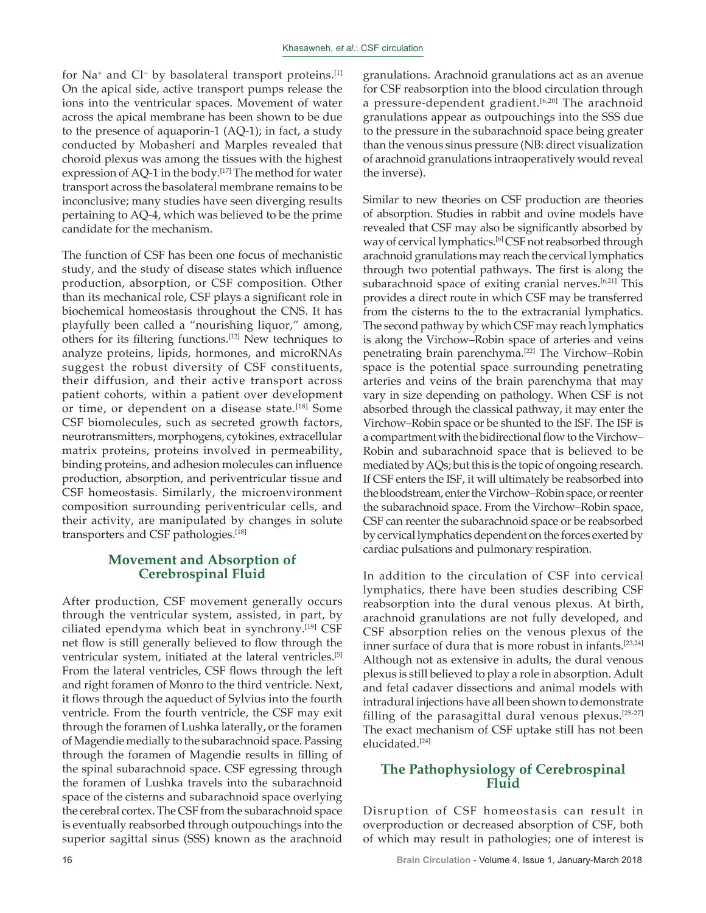for Na<sup>+</sup> and Cl<sup>−</sup> by basolateral transport proteins.<sup>[1]</sup> On the apical side, active transport pumps release the ions into the ventricular spaces. Movement of water across the apical membrane has been shown to be due to the presence of aquaporin-1 (AQ-1); in fact, a study conducted by Mobasheri and Marples revealed that choroid plexus was among the tissues with the highest expression of AQ-1 in the body.<sup>[17]</sup> The method for water transport across the basolateral membrane remains to be inconclusive; many studies have seen diverging results pertaining to AQ-4, which was believed to be the prime candidate for the mechanism.

The function of CSF has been one focus of mechanistic study, and the study of disease states which influence production, absorption, or CSF composition. Other than its mechanical role, CSF plays a significant role in biochemical homeostasis throughout the CNS. It has playfully been called a "nourishing liquor," among, others for its filtering functions.[12] New techniques to analyze proteins, lipids, hormones, and microRNAs suggest the robust diversity of CSF constituents, their diffusion, and their active transport across patient cohorts, within a patient over development or time, or dependent on a disease state.<sup>[18]</sup> Some CSF biomolecules, such as secreted growth factors, neurotransmitters, morphogens, cytokines, extracellular matrix proteins, proteins involved in permeability, binding proteins, and adhesion molecules can influence production, absorption, and periventricular tissue and CSF homeostasis. Similarly, the microenvironment composition surrounding periventricular cells, and their activity, are manipulated by changes in solute transporters and CSF pathologies.<sup>[18]</sup>

# **Movement and Absorption of Cerebrospinal Fluid**

After production, CSF movement generally occurs through the ventricular system, assisted, in part, by ciliated ependyma which beat in synchrony.<sup>[19]</sup> CSF net flow is still generally believed to flow through the ventricular system, initiated at the lateral ventricles.[5] From the lateral ventricles, CSF flows through the left and right foramen of Monro to the third ventricle. Next, it flows through the aqueduct of Sylvius into the fourth ventricle. From the fourth ventricle, the CSF may exit through the foramen of Lushka laterally, or the foramen of Magendie medially to the subarachnoid space. Passing through the foramen of Magendie results in filling of the spinal subarachnoid space. CSF egressing through the foramen of Lushka travels into the subarachnoid space of the cisterns and subarachnoid space overlying the cerebral cortex. The CSF from the subarachnoid space is eventually reabsorbed through outpouchings into the superior sagittal sinus (SSS) known as the arachnoid

granulations. Arachnoid granulations act as an avenue for CSF reabsorption into the blood circulation through a pressure-dependent gradient.<sup>[6,20]</sup> The arachnoid granulations appear as outpouchings into the SSS due to the pressure in the subarachnoid space being greater than the venous sinus pressure (NB: direct visualization of arachnoid granulations intraoperatively would reveal the inverse).

Similar to new theories on CSF production are theories of absorption. Studies in rabbit and ovine models have revealed that CSF may also be significantly absorbed by way of cervical lymphatics.<sup>[6]</sup> CSF not reabsorbed through arachnoid granulations may reach the cervical lymphatics through two potential pathways. The first is along the subarachnoid space of exiting cranial nerves.<sup>[6,21]</sup> This provides a direct route in which CSF may be transferred from the cisterns to the to the extracranial lymphatics. The second pathway by which CSF may reach lymphatics is along the Virchow–Robin space of arteries and veins penetrating brain parenchyma.[22] The Virchow–Robin space is the potential space surrounding penetrating arteries and veins of the brain parenchyma that may vary in size depending on pathology. When CSF is not absorbed through the classical pathway, it may enter the Virchow–Robin space or be shunted to the ISF. The ISF is a compartment with the bidirectional flow to the Virchow– Robin and subarachnoid space that is believed to be mediated by AQs; but this is the topic of ongoing research. If CSF enters the ISF, it will ultimately be reabsorbed into the bloodstream, enter the Virchow–Robin space, or reenter the subarachnoid space. From the Virchow–Robin space, CSF can reenter the subarachnoid space or be reabsorbed by cervical lymphatics dependent on the forces exerted by cardiac pulsations and pulmonary respiration.

In addition to the circulation of CSF into cervical lymphatics, there have been studies describing CSF reabsorption into the dural venous plexus. At birth, arachnoid granulations are not fully developed, and CSF absorption relies on the venous plexus of the inner surface of dura that is more robust in infants.[23,24] Although not as extensive in adults, the dural venous plexus is still believed to play a role in absorption. Adult and fetal cadaver dissections and animal models with intradural injections have all been shown to demonstrate filling of the parasagittal dural venous plexus.<sup>[25-27]</sup> The exact mechanism of CSF uptake still has not been elucidated.<sup>[24]</sup>

# **The Pathophysiology of Cerebrospinal Fluid**

Disruption of CSF homeostasis can result in overproduction or decreased absorption of CSF, both of which may result in pathologies; one of interest is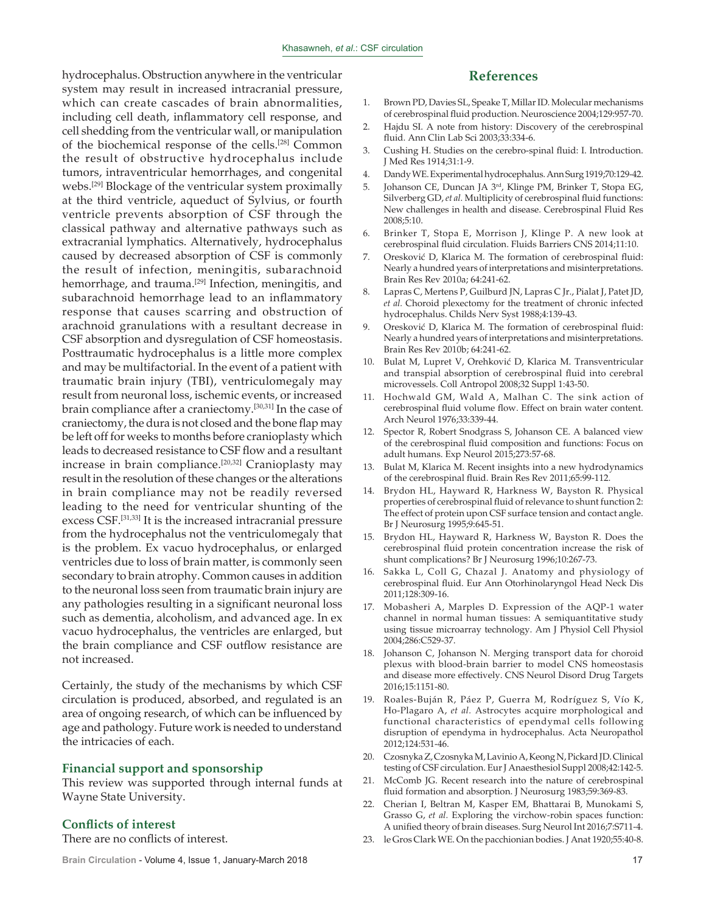hydrocephalus. Obstruction anywhere in the ventricular system may result in increased intracranial pressure, which can create cascades of brain abnormalities, including cell death, inflammatory cell response, and cell shedding from the ventricular wall, or manipulation of the biochemical response of the cells.[28] Common the result of obstructive hydrocephalus include tumors, intraventricular hemorrhages, and congenital webs.[29] Blockage of the ventricular system proximally at the third ventricle, aqueduct of Sylvius, or fourth ventricle prevents absorption of CSF through the classical pathway and alternative pathways such as extracranial lymphatics. Alternatively, hydrocephalus caused by decreased absorption of CSF is commonly the result of infection, meningitis, subarachnoid hemorrhage, and trauma.<sup>[29]</sup> Infection, meningitis, and subarachnoid hemorrhage lead to an inflammatory response that causes scarring and obstruction of arachnoid granulations with a resultant decrease in CSF absorption and dysregulation of CSF homeostasis. Posttraumatic hydrocephalus is a little more complex and may be multifactorial. In the event of a patient with traumatic brain injury (TBI), ventriculomegaly may result from neuronal loss, ischemic events, or increased brain compliance after a craniectomy.[30,31] In the case of craniectomy, the dura is not closed and the bone flap may be left off for weeks to months before cranioplasty which leads to decreased resistance to CSF flow and a resultant increase in brain compliance.[20,32] Cranioplasty may result in the resolution of these changes or the alterations in brain compliance may not be readily reversed leading to the need for ventricular shunting of the excess CSF.[31,33] It is the increased intracranial pressure from the hydrocephalus not the ventriculomegaly that is the problem. Ex vacuo hydrocephalus, or enlarged ventricles due to loss of brain matter, is commonly seen secondary to brain atrophy. Common causes in addition to the neuronal loss seen from traumatic brain injury are any pathologies resulting in a significant neuronal loss such as dementia, alcoholism, and advanced age. In ex vacuo hydrocephalus, the ventricles are enlarged, but the brain compliance and CSF outflow resistance are not increased.

Certainly, the study of the mechanisms by which CSF circulation is produced, absorbed, and regulated is an area of ongoing research, of which can be influenced by age and pathology. Future work is needed to understand the intricacies of each.

### **Financial support and sponsorship**

This review was supported through internal funds at Wayne State University.

### **Conflicts of interest**

There are no conflicts of interest.

## **References**

- 1. Brown PD, Davies SL, Speake T, MillarID. Molecular mechanisms of cerebrospinal fluid production. Neuroscience 2004;129:957‑70.
- 2. Hajdu SI. A note from history: Discovery of the cerebrospinal fluid. Ann Clin Lab Sci 2003;33:334‑6.
- 3. Cushing H. Studies on the cerebro‑spinal fluid: I. Introduction. J Med Res 1914;31:1-9.
- 4. DandyWE. Experimental hydrocephalus. Ann Surg 1919;70:129-42.
- 5. Johanson CE, Duncan JA 3rd, Klinge PM, Brinker T, Stopa EG, Silverberg GD, *et al.* Multiplicity of cerebrospinal fluid functions: New challenges in health and disease. Cerebrospinal Fluid Res 2008;5:10.
- 6. Brinker T, Stopa E, Morrison J, Klinge P. A new look at cerebrospinal fluid circulation. Fluids Barriers CNS 2014;11:10.
- 7. Oresković D, Klarica M. The formation of cerebrospinal fluid: Nearly a hundred years of interpretations and misinterpretations. Brain Res Rev 2010a; 64:241-62.
- Lapras C, Mertens P, Guilburd JN, Lapras C Jr., Pialat J, Patet JD, *et al.* Choroid plexectomy for the treatment of chronic infected hydrocephalus. Childs Nerv Syst 1988;4:139-43.
- 9. Oresković D, Klarica M. The formation of cerebrospinal fluid: Nearly a hundred years of interpretations and misinterpretations. Brain Res Rev 2010b; 64:241-62.
- 10. Bulat M, Lupret V, Orehković D, Klarica M. Transventricular and transpial absorption of cerebrospinal fluid into cerebral microvessels. Coll Antropol 2008;32 Suppl 1:43-50.
- 11. Hochwald GM, Wald A, Malhan C. The sink action of cerebrospinal fluid volume flow. Effect on brain water content. Arch Neurol 1976;33:339-44.
- 12. Spector R, Robert Snodgrass S, Johanson CE. A balanced view of the cerebrospinal fluid composition and functions: Focus on adult humans. Exp Neurol 2015;273:57-68.
- 13. Bulat M, Klarica M. Recent insights into a new hydrodynamics of the cerebrospinal fluid. Brain Res Rev 2011;65:99‑112.
- 14. Brydon HL, Hayward R, Harkness W, Bayston R. Physical properties of cerebrospinal fluid of relevance to shunt function 2: The effect of protein upon CSF surface tension and contact angle. Br J Neurosurg 1995;9:645-51.
- 15. Brydon HL, Hayward R, Harkness W, Bayston R. Does the cerebrospinal fluid protein concentration increase the risk of shunt complications? Br J Neurosurg 1996;10:267-73.
- 16. Sakka L, Coll G, Chazal J. Anatomy and physiology of cerebrospinal fluid. Eur Ann Otorhinolaryngol Head Neck Dis 2011;128:309-16.
- 17. Mobasheri A, Marples D. Expression of the AQP-1 water channel in normal human tissues: A semiquantitative study using tissue microarray technology. Am J Physiol Cell Physiol 2004;286:C529-37.
- 18. Johanson C, Johanson N. Merging transport data for choroid plexus with blood-brain barrier to model CNS homeostasis and disease more effectively. CNS Neurol Disord Drug Targets 2016;15:1151-80.
- 19. Roales-Buján R, Páez P, Guerra M, Rodríguez S, Vío K, Ho-Plagaro A, *et al.* Astrocytes acquire morphological and functional characteristics of ependymal cells following disruption of ependyma in hydrocephalus. Acta Neuropathol 2012;124:531-46.
- 20. Czosnyka Z, Czosnyka M, Lavinio A, Keong N, Pickard JD. Clinical testing of CSF circulation. Eur J Anaesthesiol Suppl 2008;42:142-5.
- 21. McComb JG. Recent research into the nature of cerebrospinal fluid formation and absorption. J Neurosurg 1983;59:369-83.
- 22. Cherian I, Beltran M, Kasper EM, Bhattarai B, Munokami S, Grasso G, *et al.* Exploring the virchow-robin spaces function: A unified theory of brain diseases. Surg Neurol Int 2016;7:S711‑4.
- 23. le Gros Clark WE. On the pacchionian bodies. J Anat 1920;55:40-8.